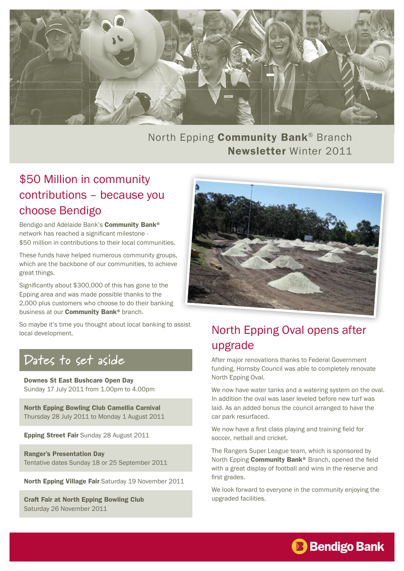

North Epping Community Bank<sup>®</sup> Branch Newsletter Winter 2011

# \$50 Million in community contributions – because you choose Bendigo

Bendigo and Adelaide Bank's Community Bank® network has reached a significant milestone - \$50 million in contributions to their local communities.

These funds have helped numerous community groups, which are the backbone of our communities, to achieve great things.

Significantly about \$300,000 of this has gone to the Epping area and was made possible thanks to the 2,000 plus customers who choose to do their banking business at our **Community Bank®** branch.

So maybe it's time you thought about local banking to assist So maybe it is time you thought about local banking to assist Morth Epping Oval opens after

# **Dates to set aside**

Downes St East Bushcare Open Day Sunday 17 July 2011 from 1.00pm to 4.00pm

North Epping Bowling Club Camellia Carnival Thursday 28 July 2011 to Monday 1 August 2011

Epping Street Fair Sunday 28 August 2011

Ranger's Presentation Day Tentative dates Sunday 18 or 25 September 2011

North Epping Village Fair Saturday 19 November 2011

Craft Fair at North Epping Bowling Club Saturday 26 November 2011



# upgrade

After major renovations thanks to Federal Government funding, Hornsby Council was able to completely renovate North Epping Oval.

We now have water tanks and a watering system on the oval. In addition the oval was laser leveled before new turf was laid. As an added bonus the council arranged to have the car park resurfaced.

We now have a first class playing and training field for soccer, netball and cricket.

The Rangers Super League team, which is sponsored by North Epping Community Bank® Branch, opened the field with a great display of football and wins in the reserve and first grades.

We look forward to everyone in the community enjoying the upgraded facilities.

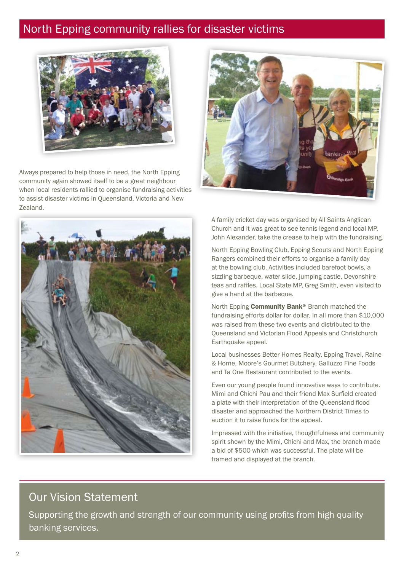### North Epping community rallies for disaster victims



Always prepared to help those in need, the North Epping community again showed itself to be a great neighbour when local residents rallied to organise fundraising activities to assist disaster victims in Queensland, Victoria and New Zealand.





A family cricket day was organised by All Saints Anglican Church and it was great to see tennis legend and local MP, John Alexander, take the crease to help with the fundraising.

North Epping Bowling Club, Epping Scouts and North Epping Rangers combined their efforts to organise a family day at the bowling club. Activities included barefoot bowls, a sizzling barbeque, water slide, jumping castle, Devonshire teas and raffles. Local State MP, Greg Smith, even visited to give a hand at the barbeque.

North Epping Community Bank<sup>®</sup> Branch matched the fundraising efforts dollar for dollar. In all more than \$10,000 was raised from these two events and distributed to the Queensland and Victorian Flood Appeals and Christchurch Earthquake appeal.

Local businesses Better Homes Realty, Epping Travel, Raine & Horne, Moore's Gourmet Butchery, Galluzzo Fine Foods and Ta One Restaurant contributed to the events.

Even our young people found innovative ways to contribute. Mimi and Chichi Pau and their friend Max Surfield created a plate with their interpretation of the Queensland flood disaster and approached the Northern District Times to auction it to raise funds for the appeal.

Impressed with the initiative, thoughtfulness and community spirit shown by the Mimi, Chichi and Max, the branch made a bid of \$500 which was successful. The plate will be framed and displayed at the branch.

### Our Vision Statement

Supporting the growth and strength of our community using profits from high quality banking services.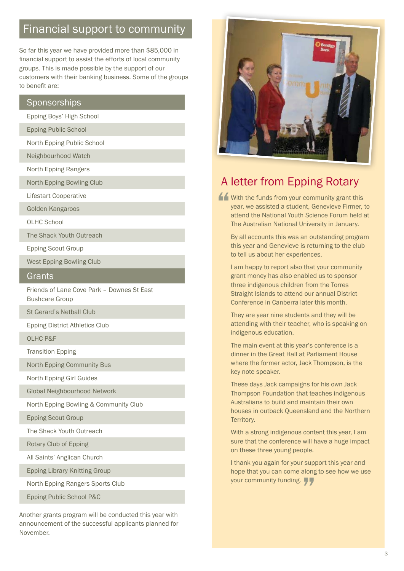### Financial support to community

So far this year we have provided more than \$85,000 in financial support to assist the efforts of local community groups. This is made possible by the support of our customers with their banking business. Some of the groups to benefit are:

#### **Sponsorships**

Epping Boys' High School

Epping Public School

North Epping Public School

Neighbourhood Watch

North Epping Rangers

North Epping Bowling Club

Lifestart Cooperative

Golden Kangaroos

OLHC School

The Shack Youth Outreach

Epping Scout Group

West Epping Bowling Club

#### **Grants**

Friends of Lane Cove Park – Downes St East Bushcare Group

St Gerard's Netball Club

Epping District Athletics Club

OLHC P&F

Transition Epping

North Epping Community Bus

North Epping Girl Guides

Global Neighbourhood Network

North Epping Bowling & Community Club

Epping Scout Group

The Shack Youth Outreach

Rotary Club of Epping

All Saints' Anglican Church

Epping Library Knitting Group

North Epping Rangers Sports Club

Epping Public School P&C

Another grants program will be conducted this year with announcement of the successful applicants planned for November.



### A letter from Epping Rotary

K With the funds from your community grant this year, we assisted a student, Genevieve Firmer, attend the National Youth Science Forum held year, we assisted a student, Genevieve Firmer, to attend the National Youth Science Forum held at The Australian National University in January.

By all accounts this was an outstanding program this year and Genevieve is returning to the club to tell us about her experiences.

I am happy to report also that your community grant money has also enabled us to sponsor three indigenous children from the Torres Straight Islands to attend our annual District Conference in Canberra later this month.

They are year nine students and they will be attending with their teacher, who is speaking on indigenous education.

The main event at this year's conference is a dinner in the Great Hall at Parliament House where the former actor, Jack Thompson, is the key note speaker.

These days Jack campaigns for his own Jack Thompson Foundation that teaches indigenous Australians to build and maintain their own houses in outback Queensland and the Northern Territory.

With a strong indigenous content this year, I am sure that the conference will have a huge impact on these three young people.

I thank you again for your support this year and hope that you can come along to see how we use your community funding.